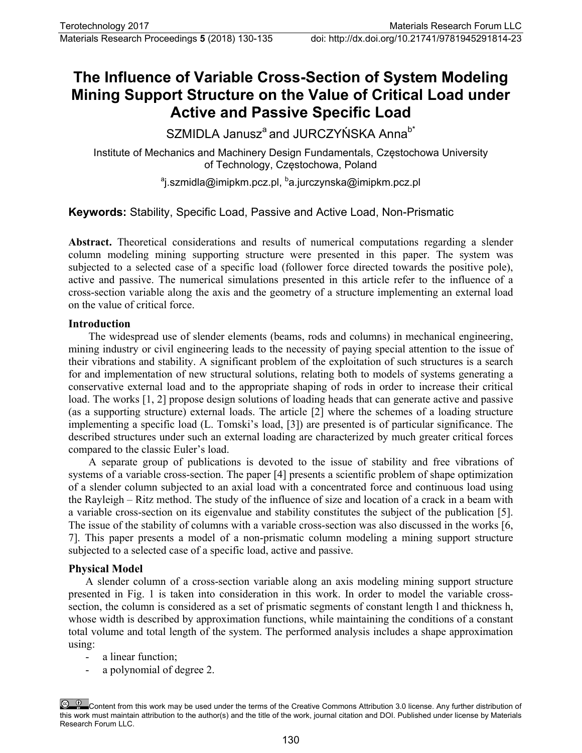# **The Influence of Variable Cross-Section of System Modeling Mining Support Structure on the Value of Critical Load under Active and Passive Specific Load**

SZMIDLA Janusz<sup>a</sup> and JURCZYŃSKA Anna<sup>b\*</sup>

Institute of Mechanics and Machinery Design Fundamentals, Częstochowa University of Technology, Częstochowa, Poland

ªj.szmidla@imipkm.pcz.pl, <sup>b</sup>a.jurczynska@imipkm.pcz.pl

**Keywords:** Stability, Specific Load, Passive and Active Load, Non-Prismatic

**Abstract.** Theoretical considerations and results of numerical computations regarding a slender column modeling mining supporting structure were presented in this paper. The system was subjected to a selected case of a specific load (follower force directed towards the positive pole), active and passive. The numerical simulations presented in this article refer to the influence of a cross-section variable along the axis and the geometry of a structure implementing an external load on the value of critical force.

## **Introduction**

The widespread use of slender elements (beams, rods and columns) in mechanical engineering, mining industry or civil engineering leads to the necessity of paying special attention to the issue of their vibrations and stability. A significant problem of the exploitation of such structures is a search for and implementation of new structural solutions, relating both to models of systems generating a conservative external load and to the appropriate shaping of rods in order to increase their critical load. The works [1, 2] propose design solutions of loading heads that can generate active and passive (as a supporting structure) external loads. The article [2] where the schemes of a loading structure implementing a specific load (L. Tomski's load, [3]) are presented is of particular significance. The described structures under such an external loading are characterized by much greater critical forces compared to the classic Euler's load.

A separate group of publications is devoted to the issue of stability and free vibrations of systems of a variable cross-section. The paper [4] presents a scientific problem of shape optimization of a slender column subjected to an axial load with a concentrated force and continuous load using the Rayleigh – Ritz method. The study of the influence of size and location of a crack in a beam with a variable cross-section on its eigenvalue and stability constitutes the subject of the publication [5]. The issue of the stability of columns with a variable cross-section was also discussed in the works [6, 7]. This paper presents a model of a non-prismatic column modeling a mining support structure subjected to a selected case of a specific load, active and passive.

## **Physical Model**

A slender column of a cross-section variable along an axis modeling mining support structure presented in Fig. 1 is taken into consideration in this work. In order to model the variable crosssection, the column is considered as a set of prismatic segments of constant length l and thickness h, whose width is described by approximation functions, while maintaining the conditions of a constant total volume and total length of the system. The performed analysis includes a shape approximation using:

- a linear function;
- a polynomial of degree 2.

Content from this work may be used under the terms of the Creative Commons Attribution 3.0 license. Any further distribution of this work must maintain attribution to the author(s) and the title of the work, journal citation and DOI. Published under license by Materials Research Forum LLC.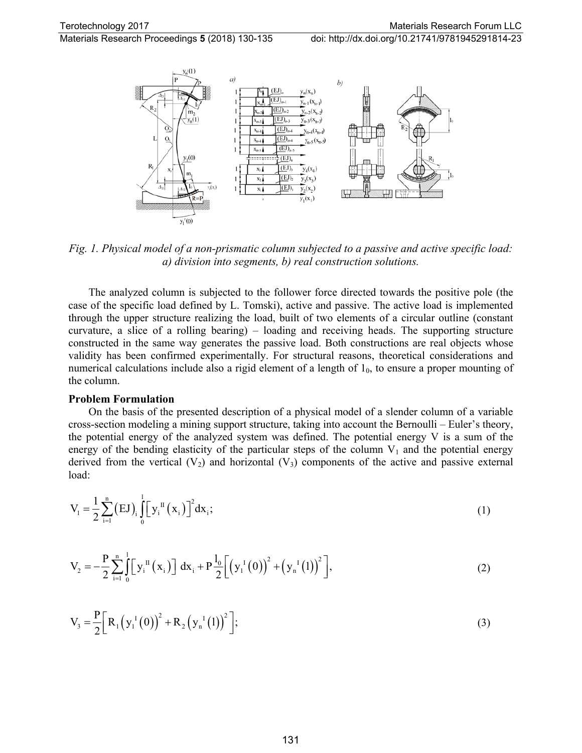Materials Research Proceedings **5** (2018) 130-135 doi: http://dx.doi.org/10.21741/9781945291814-23



*Fig. 1. Physical model of a non-prismatic column subjected to a passive and active specific load: a) division into segments, b) real construction solutions.*

The analyzed column is subjected to the follower force directed towards the positive pole (the case of the specific load defined by L. Tomski), active and passive. The active load is implemented through the upper structure realizing the load, built of two elements of a circular outline (constant curvature, a slice of a rolling bearing) – loading and receiving heads. The supporting structure constructed in the same way generates the passive load. Both constructions are real objects whose validity has been confirmed experimentally. For structural reasons, theoretical considerations and numerical calculations include also a rigid element of a length of  $1<sub>0</sub>$ , to ensure a proper mounting of the column.

#### **Problem Formulation**

On the basis of the presented description of a physical model of a slender column of a variable cross-section modeling a mining support structure, taking into account the Bernoulli – Euler's theory, the potential energy of the analyzed system was defined. The potential energy V is a sum of the energy of the bending elasticity of the particular steps of the column  $V_1$  and the potential energy derived from the vertical  $(V_2)$  and horizontal  $(V_3)$  components of the active and passive external load:

$$
V_{i} = \frac{1}{2} \sum_{i=1}^{n} (EJ)_{i} \int_{0}^{1} [y_{i}^{II}(x_{i})]^{2} dx_{i};
$$
\n(1)

$$
V_2 = -\frac{P}{2} \sum_{i=1}^{n} \int_{0}^{1} \left[ y_i^{II} (x_i) \right] dx_i + P \frac{l_0}{2} \left[ \left( y_i^{I} (0) \right)^2 + \left( y_n^{I} (1) \right)^2 \right],
$$
 (2)

$$
V_3 = \frac{P}{2} \Big[ R_1 (y_1^1(0))^2 + R_2 (y_n^1(1))^2 \Big];
$$
\n(3)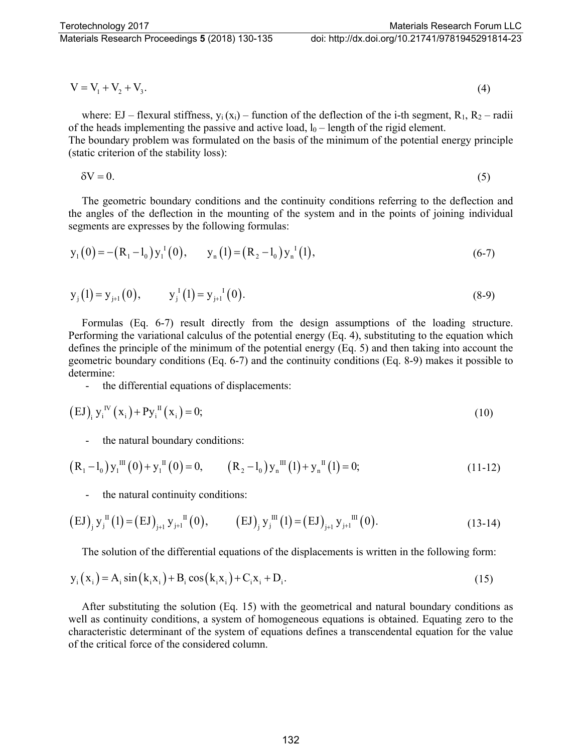$$
V = V_1 + V_2 + V_3. \tag{4}
$$

where: EJ – flexural stiffness,  $y_i(x_i)$  – function of the deflection of the i-th segment,  $R_1, R_2$  – radii of the heads implementing the passive and active load,  $l_0$  – length of the rigid element. The boundary problem was formulated on the basis of the minimum of the potential energy principle (static criterion of the stability loss):

$$
\delta V = 0. \tag{5}
$$

The geometric boundary conditions and the continuity conditions referring to the deflection and the angles of the deflection in the mounting of the system and in the points of joining individual segments are expresses by the following formulas:

$$
y_1(0) = -(R_1 - l_0)y_1^1(0), \t y_n(1) = (R_2 - l_0)y_n^1(1),
$$
 (6-7)

$$
y_j(1) = y_{j+1}(0),
$$
  $y_j^1(1) = y_{j+1}^1(0).$  (8-9)

Formulas (Eq. 6-7) result directly from the design assumptions of the loading structure. Performing the variational calculus of the potential energy (Eq. 4), substituting to the equation which defines the principle of the minimum of the potential energy (Eq. 5) and then taking into account the geometric boundary conditions (Eq. 6-7) and the continuity conditions (Eq. 8-9) makes it possible to determine:

- the differential equations of displacements:

$$
(EJ)i yiIV (xi) + PyiII (xi) = 0;
$$
 (10)

the natural boundary conditions:

$$
(R_1 - l_0) y_1^{\text{III}}(0) + y_1^{\text{II}}(0) = 0, \qquad (R_2 - l_0) y_n^{\text{III}}(1) + y_n^{\text{II}}(1) = 0; \qquad (11-12)
$$

the natural continuity conditions:

$$
(EJ)_{j} y_{j}^{II}(1) = (EJ)_{j+1} y_{j+1}^{II}(0), \qquad (EJ)_{j} y_{j}^{III}(1) = (EJ)_{j+1} y_{j+1}^{III}(0).
$$
 (13-14)

The solution of the differential equations of the displacements is written in the following form:

$$
y_i(x_i) = A_i \sin(k_i x_i) + B_i \cos(k_i x_i) + C_i x_i + D_i.
$$
 (15)

After substituting the solution (Eq. 15) with the geometrical and natural boundary conditions as well as continuity conditions, a system of homogeneous equations is obtained. Equating zero to the characteristic determinant of the system of equations defines a transcendental equation for the value of the critical force of the considered column.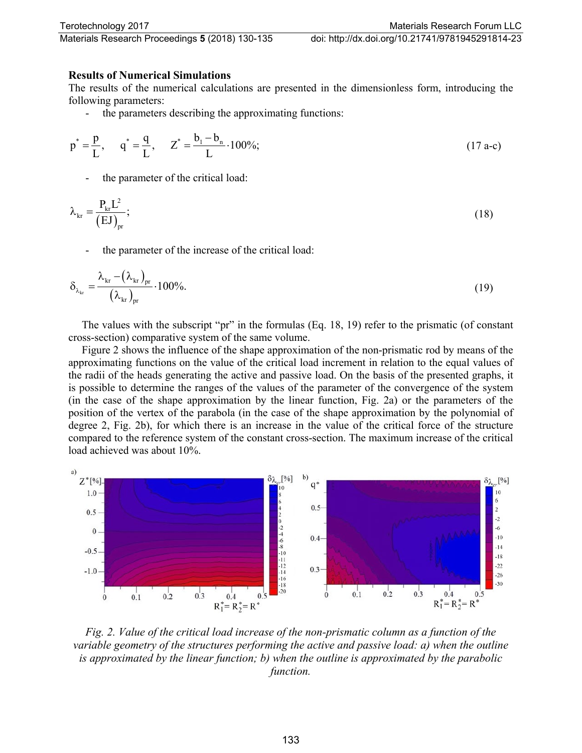### **Results of Numerical Simulations**

The results of the numerical calculations are presented in the dimensionless form, introducing the following parameters:

the parameters describing the approximating functions:

$$
p^* = \frac{p}{L}, \quad q^* = \frac{q}{L}, \quad Z^* = \frac{b_1 - b_n}{L} \cdot 100\%;
$$
 (17 a-c)

the parameter of the critical load:

$$
\lambda_{kr} = \frac{P_{kr}L^2}{(EJ)_{pr}};
$$
\n(18)

the parameter of the increase of the critical load:

$$
\delta_{\lambda_{kr}} = \frac{\lambda_{kr} - (\lambda_{kr})_{pr}}{(\lambda_{kr})_{pr}} \cdot 100\%.
$$
\n(19)

The values with the subscript "pr" in the formulas (Eq. 18, 19) refer to the prismatic (of constant cross-section) comparative system of the same volume.

Figure 2 shows the influence of the shape approximation of the non-prismatic rod by means of the approximating functions on the value of the critical load increment in relation to the equal values of the radii of the heads generating the active and passive load. On the basis of the presented graphs, it is possible to determine the ranges of the values of the parameter of the convergence of the system (in the case of the shape approximation by the linear function, Fig. 2a) or the parameters of the position of the vertex of the parabola (in the case of the shape approximation by the polynomial of degree 2, Fig. 2b), for which there is an increase in the value of the critical force of the structure compared to the reference system of the constant cross-section. The maximum increase of the critical load achieved was about 10%.



*Fig. 2. Value of the critical load increase of the non-prismatic column as a function of the variable geometry of the structures performing the active and passive load: a) when the outline is approximated by the linear function; b) when the outline is approximated by the parabolic function.*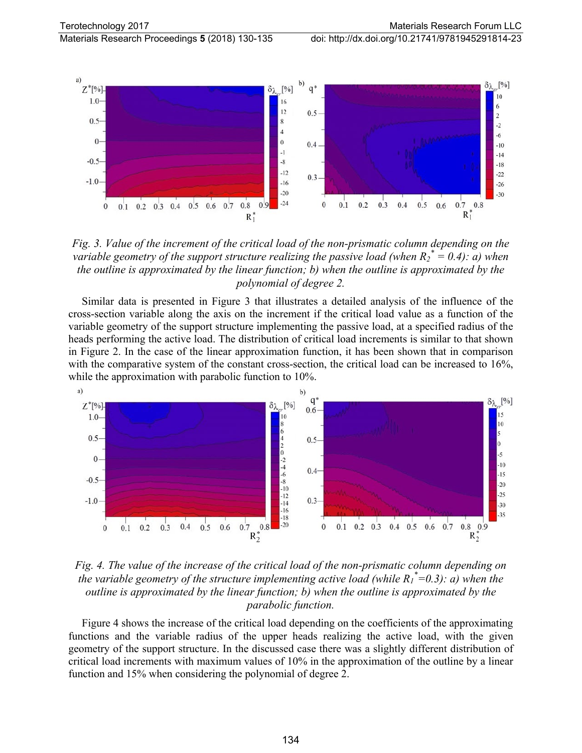

*Fig. 3. Value of the increment of the critical load of the non-prismatic column depending on the variable geometry of the support structure realizing the passive load (when R2 \* = 0.4): a) when the outline is approximated by the linear function; b) when the outline is approximated by the polynomial of degree 2.*

Similar data is presented in Figure 3 that illustrates a detailed analysis of the influence of the cross-section variable along the axis on the increment if the critical load value as a function of the variable geometry of the support structure implementing the passive load, at a specified radius of the heads performing the active load. The distribution of critical load increments is similar to that shown in Figure 2. In the case of the linear approximation function, it has been shown that in comparison with the comparative system of the constant cross-section, the critical load can be increased to  $16\%,$ while the approximation with parabolic function to 10%.



*Fig. 4. The value of the increase of the critical load of the non-prismatic column depending on the variable geometry of the structure implementing active load (while R1 \* =0.3): a) when the outline is approximated by the linear function; b) when the outline is approximated by the parabolic function.*

Figure 4 shows the increase of the critical load depending on the coefficients of the approximating functions and the variable radius of the upper heads realizing the active load, with the given geometry of the support structure. In the discussed case there was a slightly different distribution of critical load increments with maximum values of 10% in the approximation of the outline by a linear function and 15% when considering the polynomial of degree 2.